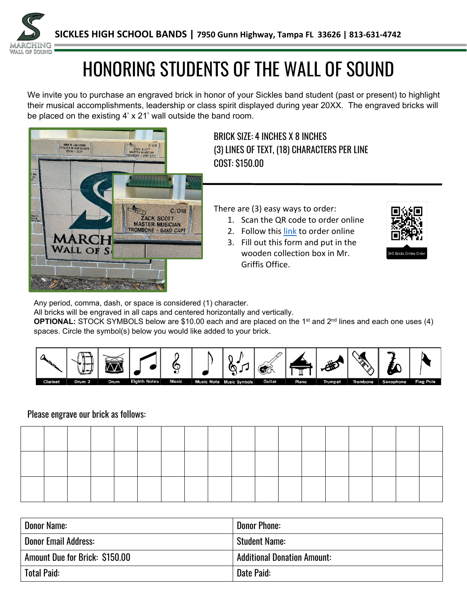

# HONORING STUDENTS OF THE WALL OF SOUND

We invite you to purchase an engraved brick in honor of your Sickles band student (past or present) to highlight their musical accomplishments, leadership or class spirit displayed during year 20XX. The engraved bricks will be placed on the existing 4' x 21' wall outside the band room.



BRICK SIZE: 4 INCHES X 8 INCHES (3) LINES OF TEXT, (18) CHARACTERS PER LINE COST: \$150.00

There are (3) easy ways to order:

- 1. Scan the QR code to order online
	- 2. Follow this [link](https://www.bricksrus.com/donorsite/wallofsound) to order online
- 3. Fill out this form and put in the wooden collection box in Mr. Griffis Office.



Any period, comma, dash, or space is considered (1) character.

All bricks will be engraved in all caps and centered horizontally and vertically.

**OPTIONAL:** STOCK SYMBOLS below are \$10.00 each and are placed on the 1<sup>st</sup> and 2<sup>nd</sup> lines and each one uses (4) spaces. Circle the symbol(s) below you would like added to your brick.



### Please engrave our brick as follows:

| Donor Name:                    | <b>Donor Phone:</b>                |
|--------------------------------|------------------------------------|
| <b>Donor Email Address:</b>    | <b>Student Name:</b>               |
| Amount Due for Brick: \$150.00 | <b>Additional Donation Amount:</b> |
| <b>Total Paid:</b>             | Date Paid:                         |